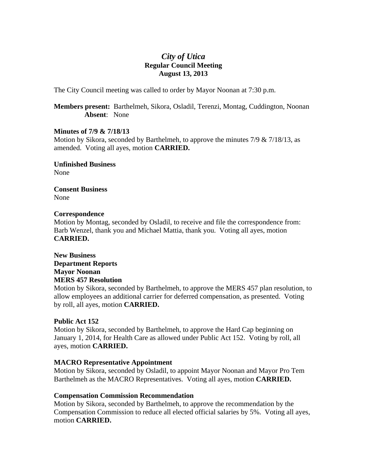# *City of Utica*  **Regular Council Meeting August 13, 2013**

The City Council meeting was called to order by Mayor Noonan at 7:30 p.m.

**Members present:** Barthelmeh, Sikora, Osladil, Terenzi, Montag, Cuddington, Noonan **Absent**: None

## **Minutes of 7/9 & 7/18/13**

Motion by Sikora, seconded by Barthelmeh, to approve the minutes  $7/9 \& 7/18/13$ , as amended. Voting all ayes, motion **CARRIED.** 

**Unfinished Business**  None

**Consent Business**  None

## **Correspondence**

Motion by Montag, seconded by Osladil, to receive and file the correspondence from: Barb Wenzel, thank you and Michael Mattia, thank you. Voting all ayes, motion **CARRIED.** 

**New Business Department Reports Mayor Noonan MERS 457 Resolution** 

Motion by Sikora, seconded by Barthelmeh, to approve the MERS 457 plan resolution, to allow employees an additional carrier for deferred compensation, as presented. Voting by roll, all ayes, motion **CARRIED.** 

# **Public Act 152**

Motion by Sikora, seconded by Barthelmeh, to approve the Hard Cap beginning on January 1, 2014, for Health Care as allowed under Public Act 152. Voting by roll, all ayes, motion **CARRIED.** 

# **MACRO Representative Appointment**

Motion by Sikora, seconded by Osladil, to appoint Mayor Noonan and Mayor Pro Tem Barthelmeh as the MACRO Representatives. Voting all ayes, motion **CARRIED.** 

### **Compensation Commission Recommendation**

Motion by Sikora, seconded by Barthelmeh, to approve the recommendation by the Compensation Commission to reduce all elected official salaries by 5%. Voting all ayes, motion **CARRIED.**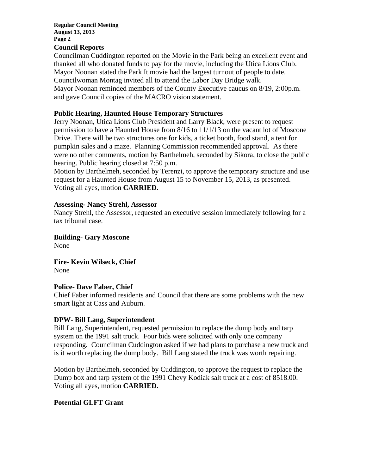#### **Regular Council Meeting August 13, 2013 Page 2**

#### **Council Reports**

Councilman Cuddington reported on the Movie in the Park being an excellent event and thanked all who donated funds to pay for the movie, including the Utica Lions Club. Mayor Noonan stated the Park It movie had the largest turnout of people to date. Councilwoman Montag invited all to attend the Labor Day Bridge walk. Mayor Noonan reminded members of the County Executive caucus on 8/19, 2:00p.m. and gave Council copies of the MACRO vision statement.

#### **Public Hearing, Haunted House Temporary Structures**

Jerry Noonan, Utica Lions Club President and Larry Black, were present to request permission to have a Haunted House from 8/16 to 11/1/13 on the vacant lot of Moscone Drive. There will be two structures one for kids, a ticket booth, food stand, a tent for pumpkin sales and a maze. Planning Commission recommended approval. As there were no other comments, motion by Barthelmeh, seconded by Sikora, to close the public hearing. Public hearing closed at 7:50 p.m.

Motion by Barthelmeh, seconded by Terenzi, to approve the temporary structure and use request for a Haunted House from August 15 to November 15, 2013, as presented. Voting all ayes, motion **CARRIED.** 

#### **Assessing- Nancy Strehl, Assessor**

Nancy Strehl, the Assessor, requested an executive session immediately following for a tax tribunal case.

**Building- Gary Moscone**  None

**Fire- Kevin Wilseck, Chief**  None

### **Police- Dave Faber, Chief**

Chief Faber informed residents and Council that there are some problems with the new smart light at Cass and Auburn.

### **DPW- Bill Lang, Superintendent**

Bill Lang, Superintendent, requested permission to replace the dump body and tarp system on the 1991 salt truck. Four bids were solicited with only one company responding. Councilman Cuddington asked if we had plans to purchase a new truck and is it worth replacing the dump body. Bill Lang stated the truck was worth repairing.

Motion by Barthelmeh, seconded by Cuddington, to approve the request to replace the Dump box and tarp system of the 1991 Chevy Kodiak salt truck at a cost of 8518.00. Voting all ayes, motion **CARRIED.** 

### **Potential GLFT Grant**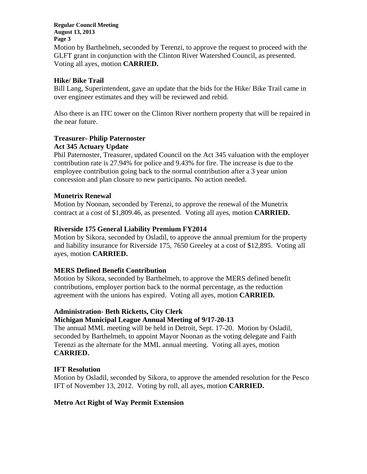**Regular Council Meeting August 13, 2013 Page 3** 

Motion by Barthelmeh, seconded by Terenzi, to approve the request to proceed with the GLFT grant in conjunction with the Clinton River Watershed Council, as presented. Voting all ayes, motion **CARRIED.** 

## **Hike/ Bike Trail**

Bill Lang, Superintendent, gave an update that the bids for the Hike/ Bike Trail came in over engineer estimates and they will be reviewed and rebid.

Also there is an ITC tower on the Clinton River northern property that will be repaired in the near future.

### **Treasurer- Philip Paternoster Act 345 Actuary Update**

Phil Paternoster, Treasurer, updated Council on the Act 345 valuation with the employer contribution rate is 27.94% for police and 9.43% for fire. The increase is due to the employee contribution going back to the normal contribution after a 3 year union concession and plan closure to new participants. No action needed.

## **Munetrix Renewal**

Motion by Noonan, seconded by Terenzi, to approve the renewal of the Munetrix contract at a cost of \$1,809.46, as presented. Voting all ayes, motion **CARRIED.** 

## **Riverside 175 General Liability Premium FY2014**

Motion by Sikora, seconded by Osladil, to approve the annual premium for the property and liability insurance for Riverside 175, 7650 Greeley at a cost of \$12,895. Voting all ayes, motion **CARRIED.** 

# **MERS Defined Benefit Contribution**

Motion by Sikora, seconded by Barthelmeh, to approve the MERS defined benefit contributions, employer portion back to the normal percentage, as the reduction agreement with the unions has expired. Voting all ayes, motion **CARRIED.**

### **Administration- Beth Ricketts, City Clerk**

### **Michigan Municipal League Annual Meeting of 9/17-20-13**

The annual MML meeting will be held in Detroit, Sept. 17-20. Motion by Osladil, seconded by Barthelmeh, to appoint Mayor Noonan as the voting delegate and Faith Terenzi as the alternate for the MML annual meeting. Voting all ayes, motion **CARRIED.** 

### **IFT Resolution**

Motion by Osladil, seconded by Sikora, to approve the amended resolution for the Pesco IFT of November 13, 2012. Voting by roll, all ayes, motion **CARRIED.** 

### **Metro Act Right of Way Permit Extension**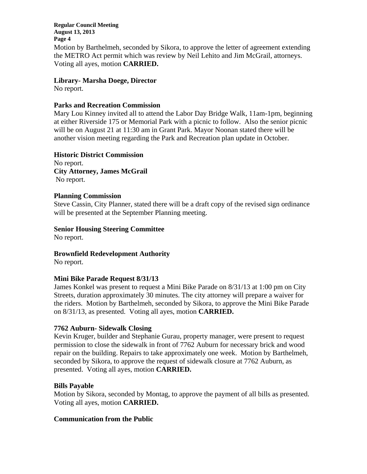**Regular Council Meeting August 13, 2013 Page 4**  Motion by Barthelmeh, seconded by Sikora, to approve the letter of agreement extending the METRO Act permit which was review by Neil Lehito and Jim McGrail, attorneys. Voting all ayes, motion **CARRIED.** 

## **Library- Marsha Doege, Director**

No report.

## **Parks and Recreation Commission**

Mary Lou Kinney invited all to attend the Labor Day Bridge Walk, 11am-1pm, beginning at either Riverside 175 or Memorial Park with a picnic to follow. Also the senior picnic will be on August 21 at 11:30 am in Grant Park. Mayor Noonan stated there will be another vision meeting regarding the Park and Recreation plan update in October.

### **Historic District Commission**

No report. **City Attorney, James McGrail**  No report.

### **Planning Commission**

Steve Cassin, City Planner, stated there will be a draft copy of the revised sign ordinance will be presented at the September Planning meeting.

# **Senior Housing Steering Committee**

No report.

# **Brownfield Redevelopment Authority**

No report.

# **Mini Bike Parade Request 8/31/13**

James Konkel was present to request a Mini Bike Parade on 8/31/13 at 1:00 pm on City Streets, duration approximately 30 minutes. The city attorney will prepare a waiver for the riders. Motion by Barthelmeh, seconded by Sikora, to approve the Mini Bike Parade on 8/31/13, as presented. Voting all ayes, motion **CARRIED.** 

# **7762 Auburn- Sidewalk Closing**

Kevin Kruger, builder and Stephanie Gurau, property manager, were present to request permission to close the sidewalk in front of 7762 Auburn for necessary brick and wood repair on the building. Repairs to take approximately one week. Motion by Barthelmeh, seconded by Sikora, to approve the request of sidewalk closure at 7762 Auburn, as presented. Voting all ayes, motion **CARRIED.**

### **Bills Payable**

Motion by Sikora, seconded by Montag, to approve the payment of all bills as presented. Voting all ayes, motion **CARRIED.** 

### **Communication from the Public**